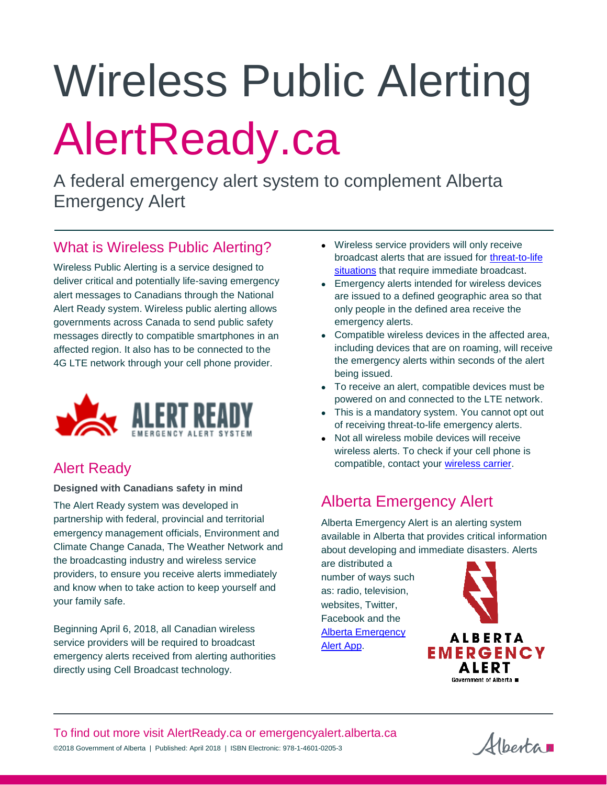# Wireless Public Alerting AlertReady.ca

A federal emergency alert system to complement Alberta Emergency Alert

#### What is Wireless Public Alerting?

Wireless Public Alerting is a service designed to deliver critical and potentially life-saving emergency alert messages to Canadians through the National Alert Ready system. Wireless public alerting allows governments across Canada to send public safety messages directly to compatible smartphones in an affected region. It also has to be connected to the 4G LTE network through your cell phone provider.



### Alert Ready

**Designed with Canadians safety in mind**

The Alert Ready system was developed in partnership with federal, provincial and territorial emergency management officials, Environment and Climate Change Canada, The Weather Network and the broadcasting industry and wireless service providers, to ensure you receive alerts immediately and know when to take action to keep yourself and your family safe.

Beginning April 6, 2018, all Canadian wireless service providers will be required to broadcast emergency alerts received from alerting authorities directly using Cell Broadcast technology.

- Wireless service providers will only receive broadcast alerts that are issued for [threat-to-life](https://www.alertready.ca/#types)  [situations](https://www.alertready.ca/#types) that require immediate broadcast.
- **Emergency alerts intended for wireless devices** are issued to a defined geographic area so that only people in the defined area receive the emergency alerts.
- Compatible wireless devices in the affected area, including devices that are on roaming, will receive the emergency alerts within seconds of the alert being issued.
- To receive an alert, compatible devices must be powered on and connected to the LTE network.
- This is a mandatory system. You cannot opt out of receiving threat-to-life emergency alerts.
- Not all wireless mobile devices will receive wireless alerts. To check if your cell phone is compatible, contact your [wireless carrier.](https://www.alertready.ca/wireless/)

## Alberta Emergency Alert

Alberta Emergency Alert is an alerting system available in Alberta that provides critical information about developing and immediate disasters. Alerts

are distributed a number of ways such as: radio, television, websites, Twitter, Facebook and the [Alberta Emergency](https://www.emergencyalert.alberta.ca/content/about/signup.html)  [Alert App.](https://www.emergencyalert.alberta.ca/content/about/signup.html)



Albertan